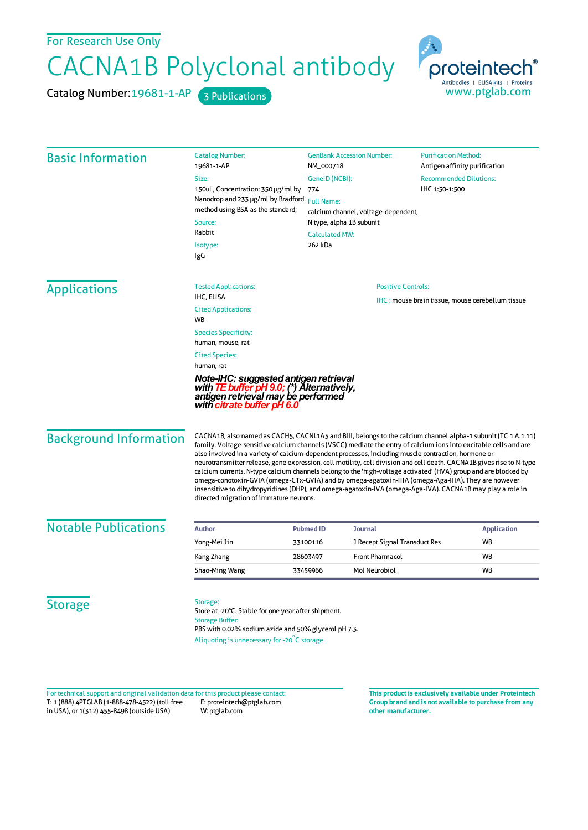## For Research Use Only

## CACNA1B Polyclonal antibody

Catalog Number: 19681-1-AP 3 Publications



| <b>Basic Information</b> | <b>Catalog Number:</b><br>19681-1-AP                                                                                                                                                             | <b>GenBank Accession Number:</b><br>NM_000718           |                                    | <b>Purification Method:</b><br>Antigen affinity purification |           |                                                                                                                                                            |                                                                                                                                                                                                                                                                                                                                                                                                                                                                                                                                                                                                                                                                                                                                                                                                                                                    |  |  |  |
|--------------------------|--------------------------------------------------------------------------------------------------------------------------------------------------------------------------------------------------|---------------------------------------------------------|------------------------------------|--------------------------------------------------------------|-----------|------------------------------------------------------------------------------------------------------------------------------------------------------------|----------------------------------------------------------------------------------------------------------------------------------------------------------------------------------------------------------------------------------------------------------------------------------------------------------------------------------------------------------------------------------------------------------------------------------------------------------------------------------------------------------------------------------------------------------------------------------------------------------------------------------------------------------------------------------------------------------------------------------------------------------------------------------------------------------------------------------------------------|--|--|--|
|                          | Size:                                                                                                                                                                                            |                                                         |                                    |                                                              |           |                                                                                                                                                            |                                                                                                                                                                                                                                                                                                                                                                                                                                                                                                                                                                                                                                                                                                                                                                                                                                                    |  |  |  |
|                          | 150ul, Concentration: 350 µg/ml by                                                                                                                                                               | GenelD (NCBI):<br>774                                   |                                    | <b>Recommended Dilutions:</b><br>IHC 1:50-1:500              |           |                                                                                                                                                            |                                                                                                                                                                                                                                                                                                                                                                                                                                                                                                                                                                                                                                                                                                                                                                                                                                                    |  |  |  |
|                          | Nanodrop and 233 µg/ml by Bradford                                                                                                                                                               | <b>Full Name:</b>                                       |                                    |                                                              |           |                                                                                                                                                            |                                                                                                                                                                                                                                                                                                                                                                                                                                                                                                                                                                                                                                                                                                                                                                                                                                                    |  |  |  |
|                          | method using BSA as the standard;<br>Source:                                                                                                                                                     | calcium channel, voltage-dependent,                     |                                    |                                                              |           |                                                                                                                                                            |                                                                                                                                                                                                                                                                                                                                                                                                                                                                                                                                                                                                                                                                                                                                                                                                                                                    |  |  |  |
|                          |                                                                                                                                                                                                  |                                                         | N type, alpha 1B subunit           |                                                              |           |                                                                                                                                                            |                                                                                                                                                                                                                                                                                                                                                                                                                                                                                                                                                                                                                                                                                                                                                                                                                                                    |  |  |  |
|                          | Rabbit                                                                                                                                                                                           | <b>Calculated MW:</b><br>262 kDa                        |                                    |                                                              |           |                                                                                                                                                            |                                                                                                                                                                                                                                                                                                                                                                                                                                                                                                                                                                                                                                                                                                                                                                                                                                                    |  |  |  |
|                          | Isotype:                                                                                                                                                                                         |                                                         |                                    |                                                              |           |                                                                                                                                                            |                                                                                                                                                                                                                                                                                                                                                                                                                                                                                                                                                                                                                                                                                                                                                                                                                                                    |  |  |  |
|                          | IgG                                                                                                                                                                                              |                                                         |                                    |                                                              |           |                                                                                                                                                            |                                                                                                                                                                                                                                                                                                                                                                                                                                                                                                                                                                                                                                                                                                                                                                                                                                                    |  |  |  |
| <b>Applications</b>      | <b>Tested Applications:</b>                                                                                                                                                                      | <b>Positive Controls:</b>                               |                                    |                                                              |           |                                                                                                                                                            |                                                                                                                                                                                                                                                                                                                                                                                                                                                                                                                                                                                                                                                                                                                                                                                                                                                    |  |  |  |
|                          | IHC, ELISA                                                                                                                                                                                       | <b>IHC: mouse brain tissue, mouse cerebellum tissue</b> |                                    |                                                              |           |                                                                                                                                                            |                                                                                                                                                                                                                                                                                                                                                                                                                                                                                                                                                                                                                                                                                                                                                                                                                                                    |  |  |  |
|                          | <b>Cited Applications:</b><br>WB                                                                                                                                                                 |                                                         |                                    |                                                              |           |                                                                                                                                                            |                                                                                                                                                                                                                                                                                                                                                                                                                                                                                                                                                                                                                                                                                                                                                                                                                                                    |  |  |  |
|                          | <b>Species Specificity:</b>                                                                                                                                                                      |                                                         |                                    |                                                              |           |                                                                                                                                                            |                                                                                                                                                                                                                                                                                                                                                                                                                                                                                                                                                                                                                                                                                                                                                                                                                                                    |  |  |  |
|                          | human, mouse, rat<br><b>Cited Species:</b><br>human, rat                                                                                                                                         |                                                         |                                    |                                                              |           |                                                                                                                                                            |                                                                                                                                                                                                                                                                                                                                                                                                                                                                                                                                                                                                                                                                                                                                                                                                                                                    |  |  |  |
|                          |                                                                                                                                                                                                  |                                                         |                                    |                                                              |           | Note-IHC: suggested antigen retrieval<br>with <b>TE buffer pH 9.0;</b> (*) Alternatively, antigen retrieval may be performed<br>with citrate buffer pH 6.0 |                                                                                                                                                                                                                                                                                                                                                                                                                                                                                                                                                                                                                                                                                                                                                                                                                                                    |  |  |  |
|                          |                                                                                                                                                                                                  |                                                         |                                    |                                                              |           | <b>Background Information</b>                                                                                                                              | CACNA1B, also named as CACH5, CACNL1A5 and BIII, belongs to the calcium channel alpha-1 subunit (TC 1.A.1.11)<br>family. Voltage-sensitive calcium channels (VSCC) mediate the entry of calcium ions into excitable cells and are<br>also involved in a variety of calcium-dependent processes, including muscle contraction, hormone or<br>neurotransmitter release, gene expression, cell motility, cell division and cell death. CACNA1B gives rise to N-type<br>calcium currents. N-type calcium channels belong to the 'high-voltage activated' (HVA) group and are blocked by<br>omega-conotoxin-GVIA (omega-CTx-GVIA) and by omega-agatoxin-IIIA (omega-Aga-IIIA). They are however<br>insensitive to dihydropyridines (DHP), and omega-agatoxin-IVA (omega-Aga-IVA). CACNA1B may play a role in<br>directed migration of immature neurons. |  |  |  |
|                          | <b>Notable Publications</b>                                                                                                                                                                      | <b>Author</b>                                           | <b>Pubmed ID</b><br><b>Journal</b> |                                                              |           | <b>Application</b>                                                                                                                                         |                                                                                                                                                                                                                                                                                                                                                                                                                                                                                                                                                                                                                                                                                                                                                                                                                                                    |  |  |  |
| Yong-Mei Jin             |                                                                                                                                                                                                  | 33100116                                                | J Recept Signal Transduct Res      |                                                              | <b>WB</b> |                                                                                                                                                            |                                                                                                                                                                                                                                                                                                                                                                                                                                                                                                                                                                                                                                                                                                                                                                                                                                                    |  |  |  |
| Kang Zhang               |                                                                                                                                                                                                  | 28603497                                                | <b>Front Pharmacol</b>             |                                                              | <b>WB</b> |                                                                                                                                                            |                                                                                                                                                                                                                                                                                                                                                                                                                                                                                                                                                                                                                                                                                                                                                                                                                                                    |  |  |  |
| Shao-Ming Wang           |                                                                                                                                                                                                  | 33459966                                                | <b>Mol Neurobiol</b>               |                                                              | <b>WB</b> |                                                                                                                                                            |                                                                                                                                                                                                                                                                                                                                                                                                                                                                                                                                                                                                                                                                                                                                                                                                                                                    |  |  |  |
|                          |                                                                                                                                                                                                  |                                                         |                                    |                                                              |           |                                                                                                                                                            |                                                                                                                                                                                                                                                                                                                                                                                                                                                                                                                                                                                                                                                                                                                                                                                                                                                    |  |  |  |
| <b>Storage</b>           | Storage:<br>Store at -20°C. Stable for one year after shipment.<br><b>Storage Buffer:</b><br>PBS with 0.02% sodium azide and 50% glycerol pH 7.3.<br>Aliquoting is unnecessary for -20°C storage |                                                         |                                    |                                                              |           |                                                                                                                                                            |                                                                                                                                                                                                                                                                                                                                                                                                                                                                                                                                                                                                                                                                                                                                                                                                                                                    |  |  |  |

T: 1 (888) 4PTGLAB (1-888-478-4522) (toll free in USA), or 1(312) 455-8498 (outside USA) E: proteintech@ptglab.com W: ptglab.com Fortechnical support and original validation data forthis product please contact: **This productis exclusively available under Proteintech**

**Group brand and is not available to purchase from any other manufacturer.**